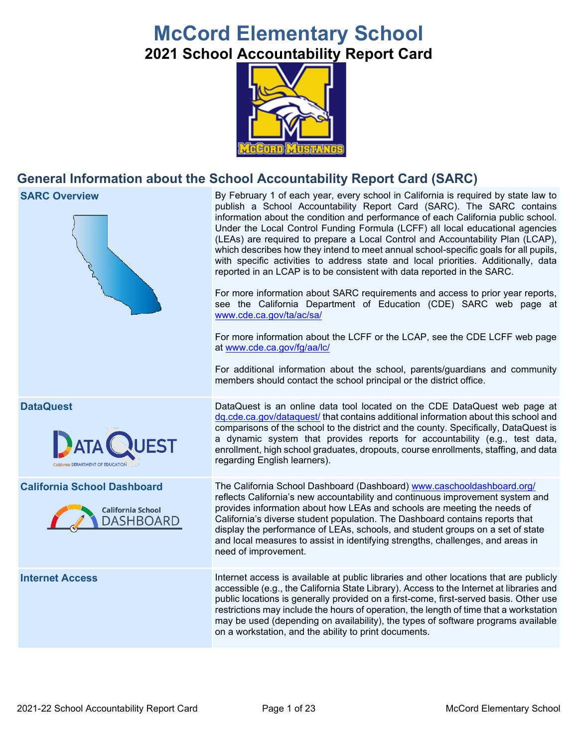# **McCord Elementary School 2021 School Accountability Report Card**



## **General Information about the School Accountability Report Card (SARC)**



**SARC Overview** By February 1 of each year, every school in California is required by state law to publish a School Accountability Report Card (SARC). The SARC contains information about the condition and performance of each California public school. Under the Local Control Funding Formula (LCFF) all local educational agencies (LEAs) are required to prepare a Local Control and Accountability Plan (LCAP), which describes how they intend to meet annual school-specific goals for all pupils, with specific activities to address state and local priorities. Additionally, data reported in an LCAP is to be consistent with data reported in the SARC.

> For more information about SARC requirements and access to prior year reports, see the California Department of Education (CDE) SARC web page at [www.cde.ca.gov/ta/ac/sa/](https://www.cde.ca.gov/ta/ac/sa/)

> For more information about the LCFF or the LCAP, see the CDE LCFF web page at [www.cde.ca.gov/fg/aa/lc/](https://www.cde.ca.gov/fg/aa/lc/)

> For additional information about the school, parents/guardians and community members should contact the school principal or the district office.

**DataQuest** DataQuest **DataQuest** is an online data tool located on the CDE DataQuest web page at [dq.cde.ca.gov/dataquest/](https://dq.cde.ca.gov/dataquest/) that contains additional information about this school and comparisons of the school to the district and the county. Specifically, DataQuest is a dynamic system that provides reports for accountability (e.g., test data, enrollment, high school graduates, dropouts, course enrollments, staffing, and data regarding English learners).

**California School Dashboard** The California School Dashboard (Dashboard) [www.caschooldashboard.org/](http://www.caschooldashboard.org/) reflects California's new accountability and continuous improvement system and provides information about how LEAs and schools are meeting the needs of California's diverse student population. The Dashboard contains reports that display the performance of LEAs, schools, and student groups on a set of state and local measures to assist in identifying strengths, challenges, and areas in need of improvement.

**Internet Access** Internet access is available at public libraries and other locations that are publicly accessible (e.g., the California State Library). Access to the Internet at libraries and public locations is generally provided on a first-come, first-served basis. Other use restrictions may include the hours of operation, the length of time that a workstation may be used (depending on availability), the types of software programs available on a workstation, and the ability to print documents.



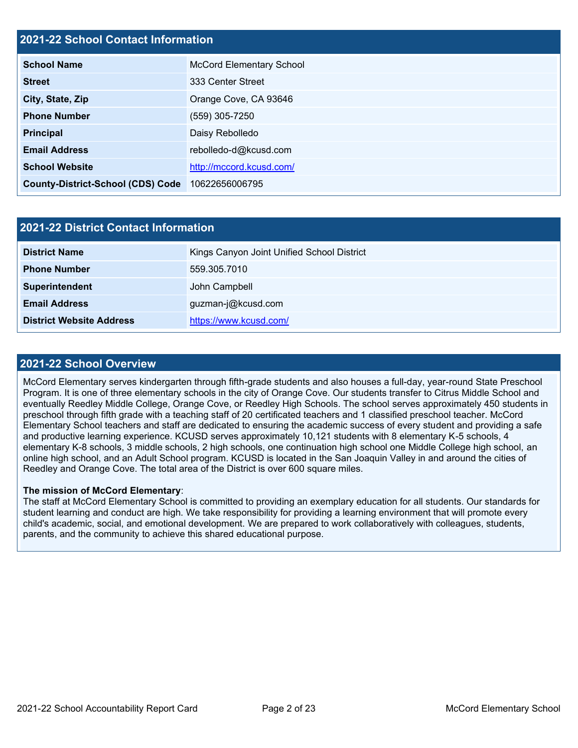## **2021-22 School Contact Information**

| <b>School Name</b>                       | <b>McCord Elementary School</b> |
|------------------------------------------|---------------------------------|
| <b>Street</b>                            | 333 Center Street               |
| City, State, Zip                         | Orange Cove, CA 93646           |
| <b>Phone Number</b>                      | (559) 305-7250                  |
| <b>Principal</b>                         | Daisy Rebolledo                 |
| <b>Email Address</b>                     | rebolledo-d@kcusd.com           |
| <b>School Website</b>                    | http://mccord.kcusd.com/        |
| <b>County-District-School (CDS) Code</b> | 10622656006795                  |

| 2021-22 District Contact Information |                                            |  |  |  |  |
|--------------------------------------|--------------------------------------------|--|--|--|--|
| <b>District Name</b>                 | Kings Canyon Joint Unified School District |  |  |  |  |
| <b>Phone Number</b>                  | 559.305.7010                               |  |  |  |  |
| Superintendent                       | John Campbell                              |  |  |  |  |
| <b>Email Address</b>                 | guzman-j@kcusd.com                         |  |  |  |  |
| <b>District Website Address</b>      | https://www.kcusd.com/                     |  |  |  |  |

## **2021-22 School Overview**

McCord Elementary serves kindergarten through fifth-grade students and also houses a full-day, year-round State Preschool Program. It is one of three elementary schools in the city of Orange Cove. Our students transfer to Citrus Middle School and eventually Reedley Middle College, Orange Cove, or Reedley High Schools. The school serves approximately 450 students in preschool through fifth grade with a teaching staff of 20 certificated teachers and 1 classified preschool teacher. McCord Elementary School teachers and staff are dedicated to ensuring the academic success of every student and providing a safe and productive learning experience. KCUSD serves approximately 10,121 students with 8 elementary K-5 schools, 4 elementary K-8 schools, 3 middle schools, 2 high schools, one continuation high school one Middle College high school, an online high school, and an Adult School program. KCUSD is located in the San Joaquin Valley in and around the cities of Reedley and Orange Cove. The total area of the District is over 600 square miles.

#### **The mission of McCord Elementary**:

The staff at McCord Elementary School is committed to providing an exemplary education for all students. Our standards for student learning and conduct are high. We take responsibility for providing a learning environment that will promote every child's academic, social, and emotional development. We are prepared to work collaboratively with colleagues, students, parents, and the community to achieve this shared educational purpose.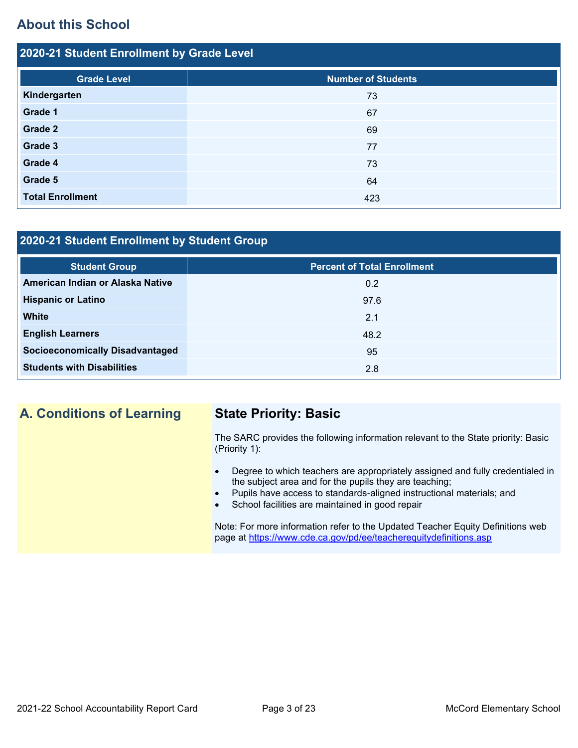## **About this School**

| 2020-21 Student Enrollment by Grade Level |                           |  |  |  |  |  |
|-------------------------------------------|---------------------------|--|--|--|--|--|
| <b>Grade Level</b>                        | <b>Number of Students</b> |  |  |  |  |  |
| Kindergarten                              | 73                        |  |  |  |  |  |
| Grade 1                                   | 67                        |  |  |  |  |  |
| Grade 2                                   | 69                        |  |  |  |  |  |
| Grade 3                                   | 77                        |  |  |  |  |  |
| Grade 4                                   | 73                        |  |  |  |  |  |
| Grade 5                                   | 64                        |  |  |  |  |  |
| <b>Total Enrollment</b>                   | 423                       |  |  |  |  |  |

## **2020-21 Student Enrollment by Student Group**

| <b>Student Group</b>                   | <b>Percent of Total Enrollment</b> |
|----------------------------------------|------------------------------------|
| American Indian or Alaska Native       | 0.2                                |
| <b>Hispanic or Latino</b>              | 97.6                               |
| <b>White</b>                           | 2.1                                |
| <b>English Learners</b>                | 48.2                               |
| <b>Socioeconomically Disadvantaged</b> | 95                                 |
| <b>Students with Disabilities</b>      | 2.8                                |

## **A. Conditions of Learning State Priority: Basic**

The SARC provides the following information relevant to the State priority: Basic (Priority 1):

- Degree to which teachers are appropriately assigned and fully credentialed in the subject area and for the pupils they are teaching;
- Pupils have access to standards-aligned instructional materials; and
- School facilities are maintained in good repair

Note: For more information refer to the Updated Teacher Equity Definitions web page at<https://www.cde.ca.gov/pd/ee/teacherequitydefinitions.asp>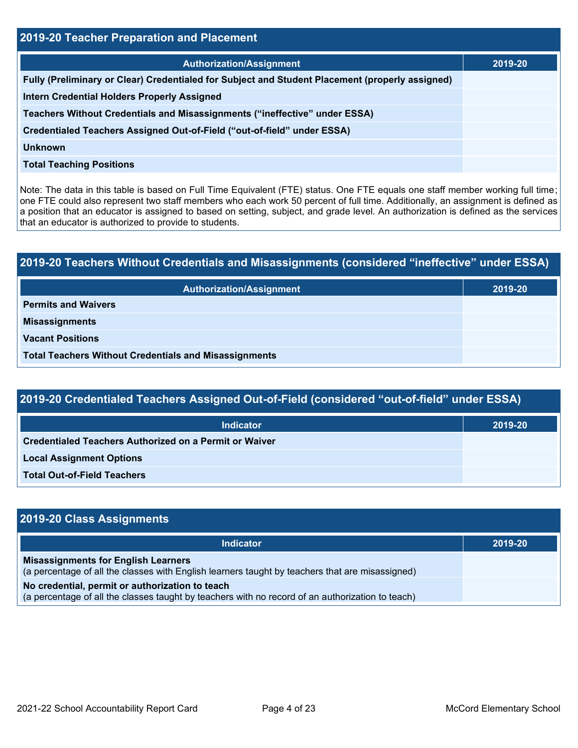| 2019-20 Teacher Preparation and Placement                                                       |         |  |  |  |
|-------------------------------------------------------------------------------------------------|---------|--|--|--|
| <b>Authorization/Assignment</b>                                                                 | 2019-20 |  |  |  |
| Fully (Preliminary or Clear) Credentialed for Subject and Student Placement (properly assigned) |         |  |  |  |
| <b>Intern Credential Holders Properly Assigned</b>                                              |         |  |  |  |
| Teachers Without Credentials and Misassignments ("ineffective" under ESSA)                      |         |  |  |  |
| Credentialed Teachers Assigned Out-of-Field ("out-of-field" under ESSA)                         |         |  |  |  |
| <b>Unknown</b>                                                                                  |         |  |  |  |
| <b>Total Teaching Positions</b>                                                                 |         |  |  |  |

Note: The data in this table is based on Full Time Equivalent (FTE) status. One FTE equals one staff member working full time; one FTE could also represent two staff members who each work 50 percent of full time. Additionally, an assignment is defined as a position that an educator is assigned to based on setting, subject, and grade level. An authorization is defined as the services that an educator is authorized to provide to students.

# **2019-20 Teachers Without Credentials and Misassignments (considered "ineffective" under ESSA) Authorization/Assignment 2019-20 Permits and Waivers Misassignments Vacant Positions Total Teachers Without Credentials and Misassignments**

| 2019-20 Credentialed Teachers Assigned Out-of-Field (considered "out-of-field" under ESSA) |         |  |  |  |  |
|--------------------------------------------------------------------------------------------|---------|--|--|--|--|
| <b>Indicator</b>                                                                           | 2019-20 |  |  |  |  |
| Credentialed Teachers Authorized on a Permit or Waiver                                     |         |  |  |  |  |
| <b>Local Assignment Options</b>                                                            |         |  |  |  |  |
| <b>Total Out-of-Field Teachers</b>                                                         |         |  |  |  |  |

| 2019-20 Class Assignments                                                                                                                           |         |
|-----------------------------------------------------------------------------------------------------------------------------------------------------|---------|
| <b>Indicator</b>                                                                                                                                    | 2019-20 |
| <b>Misassignments for English Learners</b><br>(a percentage of all the classes with English learners taught by teachers that are misassigned)       |         |
| No credential, permit or authorization to teach<br>(a percentage of all the classes taught by teachers with no record of an authorization to teach) |         |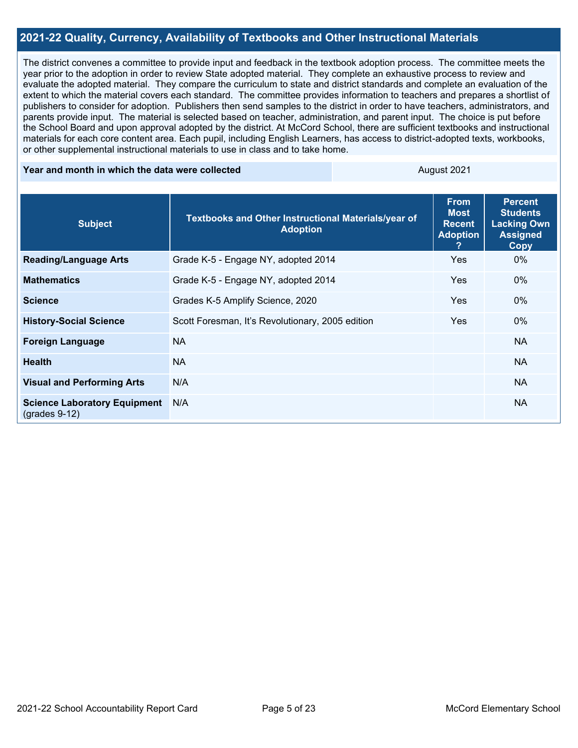## **2021-22 Quality, Currency, Availability of Textbooks and Other Instructional Materials**

The district convenes a committee to provide input and feedback in the textbook adoption process. The committee meets the year prior to the adoption in order to review State adopted material. They complete an exhaustive process to review and evaluate the adopted material. They compare the curriculum to state and district standards and complete an evaluation of the extent to which the material covers each standard. The committee provides information to teachers and prepares a shortlist of publishers to consider for adoption. Publishers then send samples to the district in order to have teachers, administrators, and parents provide input. The material is selected based on teacher, administration, and parent input. The choice is put before the School Board and upon approval adopted by the district. At McCord School, there are sufficient textbooks and instructional materials for each core content area. Each pupil, including English Learners, has access to district-adopted texts, workbooks, or other supplemental instructional materials to use in class and to take home.

#### **Year and month in which the data were collected August 2021** August 2021

| <b>Subject</b>                                         | Textbooks and Other Instructional Materials/year of<br><b>Adoption</b><br><b>Adoption</b> |            | <b>Percent</b><br><b>Students</b><br><b>Lacking Own</b><br><b>Assigned</b><br><b>Copy</b> |
|--------------------------------------------------------|-------------------------------------------------------------------------------------------|------------|-------------------------------------------------------------------------------------------|
| <b>Reading/Language Arts</b>                           | Grade K-5 - Engage NY, adopted 2014                                                       | <b>Yes</b> | $0\%$                                                                                     |
| <b>Mathematics</b>                                     | Grade K-5 - Engage NY, adopted 2014                                                       | <b>Yes</b> | $0\%$                                                                                     |
| <b>Science</b>                                         | Grades K-5 Amplify Science, 2020                                                          | <b>Yes</b> | $0\%$                                                                                     |
| <b>History-Social Science</b>                          | Scott Foresman, It's Revolutionary, 2005 edition                                          | <b>Yes</b> | $0\%$                                                                                     |
| <b>Foreign Language</b>                                | <b>NA</b>                                                                                 |            | <b>NA</b>                                                                                 |
| <b>Health</b>                                          | <b>NA</b>                                                                                 |            | <b>NA</b>                                                                                 |
| <b>Visual and Performing Arts</b>                      | N/A                                                                                       |            | <b>NA</b>                                                                                 |
| <b>Science Laboratory Equipment</b><br>$(grades 9-12)$ | N/A                                                                                       |            | <b>NA</b>                                                                                 |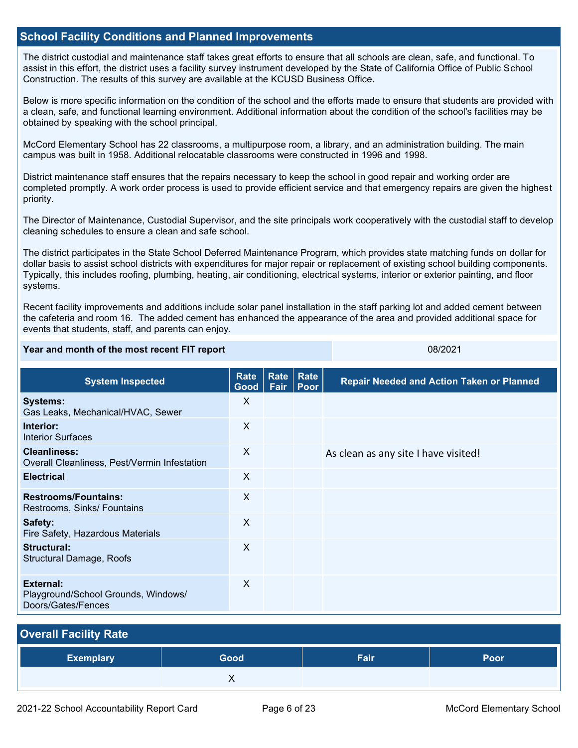### **School Facility Conditions and Planned Improvements**

The district custodial and maintenance staff takes great efforts to ensure that all schools are clean, safe, and functional. To assist in this effort, the district uses a facility survey instrument developed by the State of California Office of Public School Construction. The results of this survey are available at the KCUSD Business Office.

Below is more specific information on the condition of the school and the efforts made to ensure that students are provided with a clean, safe, and functional learning environment. Additional information about the condition of the school's facilities may be obtained by speaking with the school principal.

McCord Elementary School has 22 classrooms, a multipurpose room, a library, and an administration building. The main campus was built in 1958. Additional relocatable classrooms were constructed in 1996 and 1998.

District maintenance staff ensures that the repairs necessary to keep the school in good repair and working order are completed promptly. A work order process is used to provide efficient service and that emergency repairs are given the highest priority.

The Director of Maintenance, Custodial Supervisor, and the site principals work cooperatively with the custodial staff to develop cleaning schedules to ensure a clean and safe school.

The district participates in the State School Deferred Maintenance Program, which provides state matching funds on dollar for dollar basis to assist school districts with expenditures for major repair or replacement of existing school building components. Typically, this includes roofing, plumbing, heating, air conditioning, electrical systems, interior or exterior painting, and floor systems.

Recent facility improvements and additions include solar panel installation in the staff parking lot and added cement between the cafeteria and room 16. The added cement has enhanced the appearance of the area and provided additional space for events that students, staff, and parents can enjoy.

#### **Year and month of the most recent FIT report** 08/2021

| <b>System Inspected</b>                                                | Rate<br>Good | <b>Rate</b><br>Fair | Rate<br>Poor | <b>Repair Needed and Action Taken or Planned</b> |
|------------------------------------------------------------------------|--------------|---------------------|--------------|--------------------------------------------------|
| <b>Systems:</b><br>Gas Leaks, Mechanical/HVAC, Sewer                   | X            |                     |              |                                                  |
| Interior:<br><b>Interior Surfaces</b>                                  | X            |                     |              |                                                  |
| <b>Cleanliness:</b><br>Overall Cleanliness, Pest/Vermin Infestation    | X            |                     |              | As clean as any site I have visited!             |
| <b>Electrical</b>                                                      | $\sf X$      |                     |              |                                                  |
| <b>Restrooms/Fountains:</b><br>Restrooms, Sinks/ Fountains             | $\mathsf{X}$ |                     |              |                                                  |
| Safety:<br>Fire Safety, Hazardous Materials                            | X            |                     |              |                                                  |
| Structural:<br>Structural Damage, Roofs                                | $\sf X$      |                     |              |                                                  |
| External:<br>Playground/School Grounds, Windows/<br>Doors/Gates/Fences | X            |                     |              |                                                  |

| <b>Overall Facility Rate</b> |      |      |      |  |  |  |
|------------------------------|------|------|------|--|--|--|
| <b>Exemplary</b>             | Good | Fair | Poor |  |  |  |
|                              |      |      |      |  |  |  |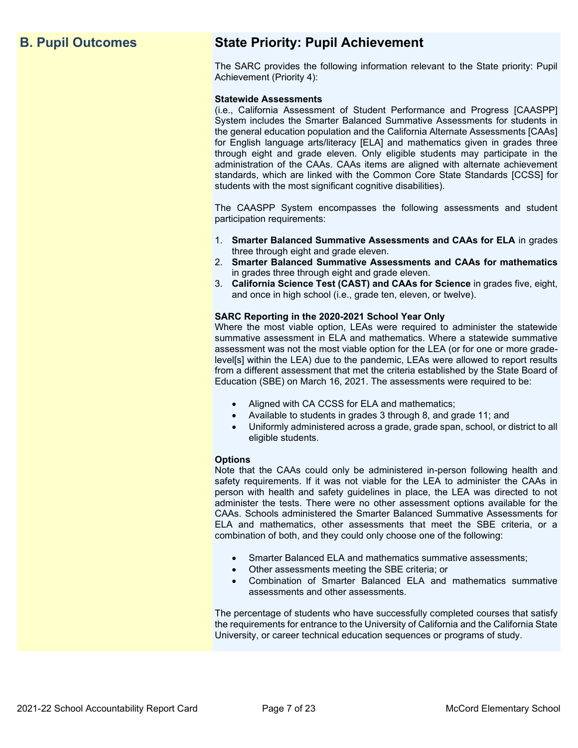## **B. Pupil Outcomes State Priority: Pupil Achievement**

The SARC provides the following information relevant to the State priority: Pupil Achievement (Priority 4):

#### **Statewide Assessments**

(i.e., California Assessment of Student Performance and Progress [CAASPP] System includes the Smarter Balanced Summative Assessments for students in the general education population and the California Alternate Assessments [CAAs] for English language arts/literacy [ELA] and mathematics given in grades three through eight and grade eleven. Only eligible students may participate in the administration of the CAAs. CAAs items are aligned with alternate achievement standards, which are linked with the Common Core State Standards [CCSS] for students with the most significant cognitive disabilities).

The CAASPP System encompasses the following assessments and student participation requirements:

- 1. **Smarter Balanced Summative Assessments and CAAs for ELA** in grades three through eight and grade eleven.
- 2. **Smarter Balanced Summative Assessments and CAAs for mathematics** in grades three through eight and grade eleven.
- 3. **California Science Test (CAST) and CAAs for Science** in grades five, eight, and once in high school (i.e., grade ten, eleven, or twelve).

#### **SARC Reporting in the 2020-2021 School Year Only**

Where the most viable option, LEAs were required to administer the statewide summative assessment in ELA and mathematics. Where a statewide summative assessment was not the most viable option for the LEA (or for one or more gradelevel[s] within the LEA) due to the pandemic, LEAs were allowed to report results from a different assessment that met the criteria established by the State Board of Education (SBE) on March 16, 2021. The assessments were required to be:

- Aligned with CA CCSS for ELA and mathematics;
- Available to students in grades 3 through 8, and grade 11; and
- Uniformly administered across a grade, grade span, school, or district to all eligible students.

#### **Options**

Note that the CAAs could only be administered in-person following health and safety requirements. If it was not viable for the LEA to administer the CAAs in person with health and safety guidelines in place, the LEA was directed to not administer the tests. There were no other assessment options available for the CAAs. Schools administered the Smarter Balanced Summative Assessments for ELA and mathematics, other assessments that meet the SBE criteria, or a combination of both, and they could only choose one of the following:

- Smarter Balanced ELA and mathematics summative assessments;
- Other assessments meeting the SBE criteria; or
- Combination of Smarter Balanced ELA and mathematics summative assessments and other assessments.

The percentage of students who have successfully completed courses that satisfy the requirements for entrance to the University of California and the California State University, or career technical education sequences or programs of study.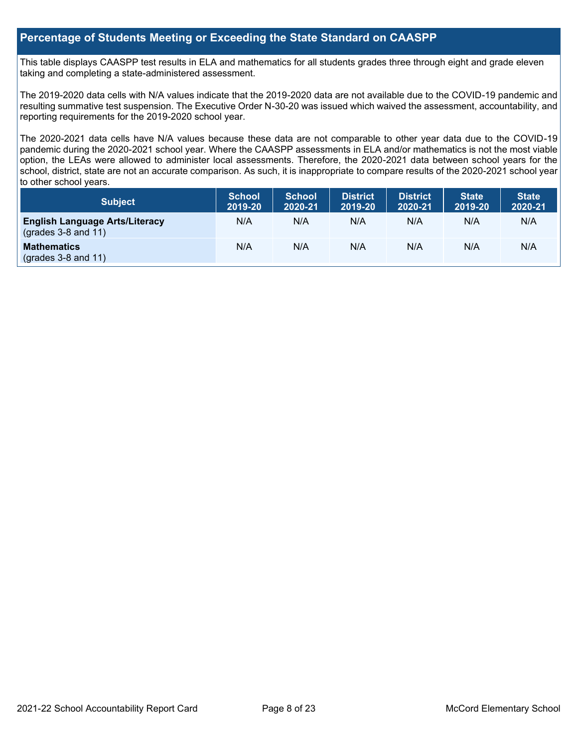## **Percentage of Students Meeting or Exceeding the State Standard on CAASPP**

This table displays CAASPP test results in ELA and mathematics for all students grades three through eight and grade eleven taking and completing a state-administered assessment.

The 2019-2020 data cells with N/A values indicate that the 2019-2020 data are not available due to the COVID-19 pandemic and resulting summative test suspension. The Executive Order N-30-20 was issued which waived the assessment, accountability, and reporting requirements for the 2019-2020 school year.

The 2020-2021 data cells have N/A values because these data are not comparable to other year data due to the COVID-19 pandemic during the 2020-2021 school year. Where the CAASPP assessments in ELA and/or mathematics is not the most viable option, the LEAs were allowed to administer local assessments. Therefore, the 2020-2021 data between school years for the school, district, state are not an accurate comparison. As such, it is inappropriate to compare results of the 2020-2021 school year to other school years.

| <b>Subject</b>                                                       | <b>School</b><br>2019-20 | <b>School</b><br>2020-21 | <b>District</b><br>2019-20 | <b>District</b><br>2020-21 | <b>State</b><br>2019-20 | <b>State</b><br>2020-21 |
|----------------------------------------------------------------------|--------------------------|--------------------------|----------------------------|----------------------------|-------------------------|-------------------------|
| <b>English Language Arts/Literacy</b><br>$\left($ grades 3-8 and 11) | N/A                      | N/A                      | N/A                        | N/A                        | N/A                     | N/A                     |
| <b>Mathematics</b><br>$($ grades 3-8 and 11 $)$                      | N/A                      | N/A                      | N/A                        | N/A                        | N/A                     | N/A                     |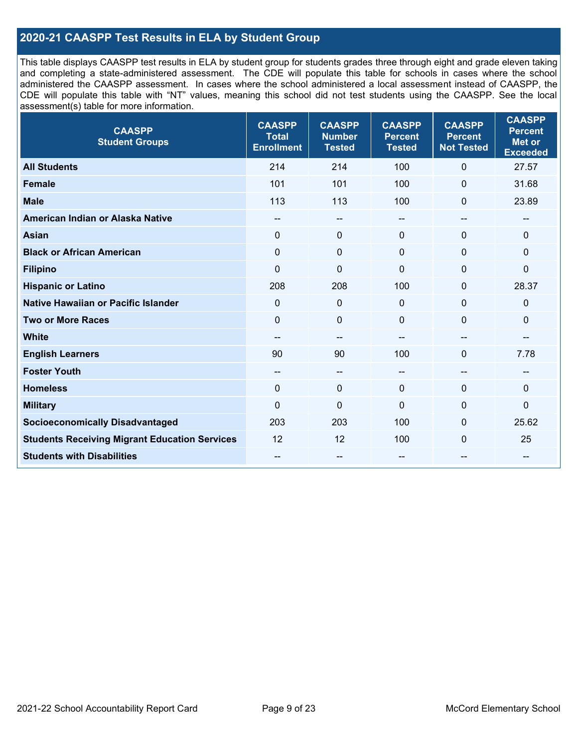## **2020-21 CAASPP Test Results in ELA by Student Group**

This table displays CAASPP test results in ELA by student group for students grades three through eight and grade eleven taking and completing a state-administered assessment. The CDE will populate this table for schools in cases where the school administered the CAASPP assessment. In cases where the school administered a local assessment instead of CAASPP, the CDE will populate this table with "NT" values, meaning this school did not test students using the CAASPP. See the local assessment(s) table for more information.

| <b>CAASPP</b><br><b>Student Groups</b>               | <b>CAASPP</b><br><b>Total</b><br><b>Enrollment</b> | <b>CAASPP</b><br><b>Number</b><br><b>Tested</b> | <b>CAASPP</b><br><b>Percent</b><br><b>Tested</b> | <b>CAASPP</b><br><b>Percent</b><br><b>Not Tested</b> | <b>CAASPP</b><br><b>Percent</b><br>Met or<br><b>Exceeded</b> |
|------------------------------------------------------|----------------------------------------------------|-------------------------------------------------|--------------------------------------------------|------------------------------------------------------|--------------------------------------------------------------|
| <b>All Students</b>                                  | 214                                                | 214                                             | 100                                              | $\mathbf{0}$                                         | 27.57                                                        |
| <b>Female</b>                                        | 101                                                | 101                                             | 100                                              | $\mathbf 0$                                          | 31.68                                                        |
| <b>Male</b>                                          | 113                                                | 113                                             | 100                                              | $\mathbf{0}$                                         | 23.89                                                        |
| American Indian or Alaska Native                     | $\qquad \qquad -$                                  | --                                              | --                                               | --                                                   | --                                                           |
| <b>Asian</b>                                         | $\Omega$                                           | $\mathbf 0$                                     | $\mathbf{0}$                                     | $\mathbf{0}$                                         | 0                                                            |
| <b>Black or African American</b>                     | $\Omega$                                           | $\mathbf 0$                                     | $\Omega$                                         | $\mathbf{0}$                                         | 0                                                            |
| <b>Filipino</b>                                      | $\mathbf 0$                                        | $\mathbf 0$                                     | $\Omega$                                         | $\mathbf{0}$                                         | 0                                                            |
| <b>Hispanic or Latino</b>                            | 208                                                | 208                                             | 100                                              | $\mathbf{0}$                                         | 28.37                                                        |
| Native Hawaiian or Pacific Islander                  | 0                                                  | $\mathbf 0$                                     | $\mathbf 0$                                      | $\mathbf 0$                                          | 0                                                            |
| <b>Two or More Races</b>                             | $\Omega$                                           | $\pmb{0}$                                       | $\Omega$                                         | $\mathbf{0}$                                         | 0                                                            |
| <b>White</b>                                         |                                                    | --                                              | --                                               | --                                                   | --                                                           |
| <b>English Learners</b>                              | 90                                                 | 90                                              | 100                                              | $\mathbf 0$                                          | 7.78                                                         |
| <b>Foster Youth</b>                                  | $\qquad \qquad -$                                  | $\overline{\phantom{a}}$                        | --                                               | $\hspace{0.05cm}$                                    | --                                                           |
| <b>Homeless</b>                                      | $\mathbf 0$                                        | $\pmb{0}$                                       | $\mathbf 0$                                      | $\mathbf 0$                                          | 0                                                            |
| <b>Military</b>                                      | $\Omega$                                           | $\mathbf 0$                                     | $\mathbf{0}$                                     | $\mathbf{0}$                                         | 0                                                            |
| <b>Socioeconomically Disadvantaged</b>               | 203                                                | 203                                             | 100                                              | $\mathbf{0}$                                         | 25.62                                                        |
| <b>Students Receiving Migrant Education Services</b> | 12                                                 | 12                                              | 100                                              | $\Omega$                                             | 25                                                           |
| <b>Students with Disabilities</b>                    | --                                                 | --                                              | --                                               | --                                                   | --                                                           |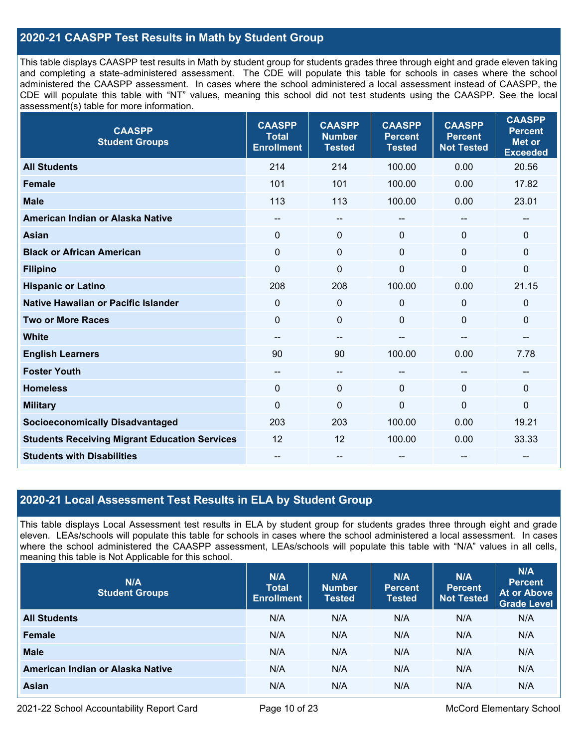## **2020-21 CAASPP Test Results in Math by Student Group**

This table displays CAASPP test results in Math by student group for students grades three through eight and grade eleven taking and completing a state-administered assessment. The CDE will populate this table for schools in cases where the school administered the CAASPP assessment. In cases where the school administered a local assessment instead of CAASPP, the CDE will populate this table with "NT" values, meaning this school did not test students using the CAASPP. See the local assessment(s) table for more information.

| <b>CAASPP</b><br><b>Student Groups</b>               | <b>CAASPP</b><br><b>Total</b><br><b>Enrollment</b> | <b>CAASPP</b><br><b>Number</b><br><b>Tested</b> | <b>CAASPP</b><br><b>Percent</b><br><b>Tested</b> | <b>CAASPP</b><br><b>Percent</b><br><b>Not Tested</b> | <b>CAASPP</b><br><b>Percent</b><br><b>Met or</b><br><b>Exceeded</b> |
|------------------------------------------------------|----------------------------------------------------|-------------------------------------------------|--------------------------------------------------|------------------------------------------------------|---------------------------------------------------------------------|
| <b>All Students</b>                                  | 214                                                | 214                                             | 100.00                                           | 0.00                                                 | 20.56                                                               |
| <b>Female</b>                                        | 101                                                | 101                                             | 100.00                                           | 0.00                                                 | 17.82                                                               |
| <b>Male</b>                                          | 113                                                | 113                                             | 100.00                                           | 0.00                                                 | 23.01                                                               |
| American Indian or Alaska Native                     | $\qquad \qquad -$                                  | --                                              | --                                               | --                                                   | $\hspace{0.05cm}$                                                   |
| <b>Asian</b>                                         | $\mathbf{0}$                                       | 0                                               | $\mathbf{0}$                                     | 0                                                    | $\mathbf 0$                                                         |
| <b>Black or African American</b>                     | $\mathbf{0}$                                       | $\Omega$                                        | $\mathbf 0$                                      | $\Omega$                                             | $\mathbf 0$                                                         |
| <b>Filipino</b>                                      | $\Omega$                                           | 0                                               | $\mathbf 0$                                      | $\mathbf{0}$                                         | $\mathbf 0$                                                         |
| <b>Hispanic or Latino</b>                            | 208                                                | 208                                             | 100.00                                           | 0.00                                                 | 21.15                                                               |
| <b>Native Hawaiian or Pacific Islander</b>           | $\Omega$                                           | 0                                               | $\mathbf 0$                                      | 0                                                    | 0                                                                   |
| <b>Two or More Races</b>                             | $\mathbf 0$                                        | 0                                               | $\mathbf 0$                                      | 0                                                    | $\pmb{0}$                                                           |
| <b>White</b>                                         | --                                                 | $\hspace{0.05cm}$ – $\hspace{0.05cm}$           |                                                  | $\overline{a}$                                       | $\hspace{0.05cm}$ – $\hspace{0.05cm}$                               |
| <b>English Learners</b>                              | 90                                                 | 90                                              | 100.00                                           | 0.00                                                 | 7.78                                                                |
| <b>Foster Youth</b>                                  | --                                                 | --                                              | --                                               | --                                                   | --                                                                  |
| <b>Homeless</b>                                      | $\mathbf{0}$                                       | $\mathbf 0$                                     | $\Omega$                                         | $\Omega$                                             | $\mathbf 0$                                                         |
| <b>Military</b>                                      | $\overline{0}$                                     | 0                                               | $\mathbf 0$                                      | $\overline{0}$                                       | $\mathbf 0$                                                         |
| <b>Socioeconomically Disadvantaged</b>               | 203                                                | 203                                             | 100.00                                           | 0.00                                                 | 19.21                                                               |
| <b>Students Receiving Migrant Education Services</b> | 12                                                 | 12                                              | 100.00                                           | 0.00                                                 | 33.33                                                               |
| <b>Students with Disabilities</b>                    |                                                    | --                                              |                                                  |                                                      |                                                                     |

## **2020-21 Local Assessment Test Results in ELA by Student Group**

This table displays Local Assessment test results in ELA by student group for students grades three through eight and grade eleven. LEAs/schools will populate this table for schools in cases where the school administered a local assessment. In cases where the school administered the CAASPP assessment, LEAs/schools will populate this table with "N/A" values in all cells, meaning this table is Not Applicable for this school.

| N/A<br><b>Student Groups</b>     | N/A<br><b>Total</b><br><b>Enrollment</b> | N/A<br><b>Number</b><br><b>Tested</b> | N/A<br><b>Percent</b><br><b>Tested</b> | N/A<br><b>Percent</b><br><b>Not Tested</b> | N/A<br><b>Percent</b><br><b>At or Above</b><br><b>Grade Level</b> |
|----------------------------------|------------------------------------------|---------------------------------------|----------------------------------------|--------------------------------------------|-------------------------------------------------------------------|
| <b>All Students</b>              | N/A                                      | N/A                                   | N/A                                    | N/A                                        | N/A                                                               |
| <b>Female</b>                    | N/A                                      | N/A                                   | N/A                                    | N/A                                        | N/A                                                               |
| <b>Male</b>                      | N/A                                      | N/A                                   | N/A                                    | N/A                                        | N/A                                                               |
| American Indian or Alaska Native | N/A                                      | N/A                                   | N/A                                    | N/A                                        | N/A                                                               |
| <b>Asian</b>                     | N/A                                      | N/A                                   | N/A                                    | N/A                                        | N/A                                                               |

2021-22 School Accountability Report Card **Page 10 of 23** McCord Elementary School **Page 10** of 23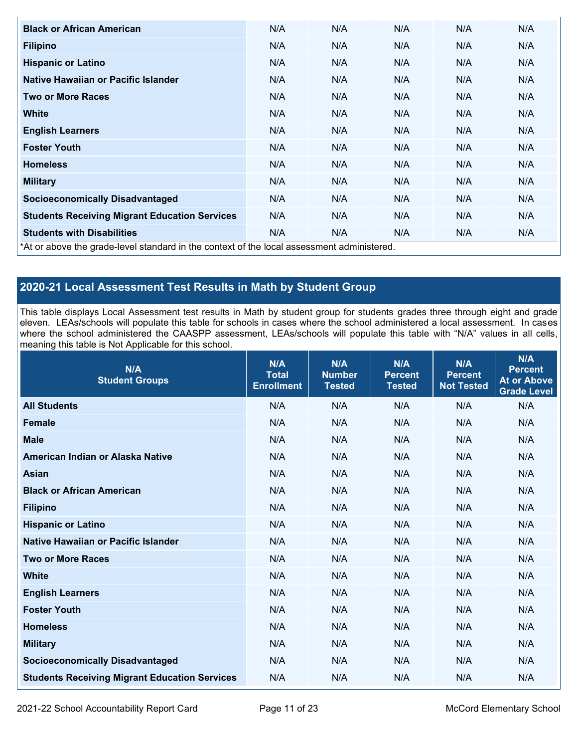| <b>Black or African American</b>                                                           | N/A | N/A | N/A | N/A | N/A |
|--------------------------------------------------------------------------------------------|-----|-----|-----|-----|-----|
| <b>Filipino</b>                                                                            | N/A | N/A | N/A | N/A | N/A |
| <b>Hispanic or Latino</b>                                                                  | N/A | N/A | N/A | N/A | N/A |
| Native Hawaiian or Pacific Islander                                                        | N/A | N/A | N/A | N/A | N/A |
| <b>Two or More Races</b>                                                                   | N/A | N/A | N/A | N/A | N/A |
| <b>White</b>                                                                               | N/A | N/A | N/A | N/A | N/A |
| <b>English Learners</b>                                                                    | N/A | N/A | N/A | N/A | N/A |
| <b>Foster Youth</b>                                                                        | N/A | N/A | N/A | N/A | N/A |
| <b>Homeless</b>                                                                            | N/A | N/A | N/A | N/A | N/A |
| <b>Military</b>                                                                            | N/A | N/A | N/A | N/A | N/A |
| <b>Socioeconomically Disadvantaged</b>                                                     | N/A | N/A | N/A | N/A | N/A |
| <b>Students Receiving Migrant Education Services</b>                                       | N/A | N/A | N/A | N/A | N/A |
| <b>Students with Disabilities</b>                                                          | N/A | N/A | N/A | N/A | N/A |
| *At or above the grade-level standard in the context of the local assessment administered. |     |     |     |     |     |

## **2020-21 Local Assessment Test Results in Math by Student Group**

This table displays Local Assessment test results in Math by student group for students grades three through eight and grade eleven. LEAs/schools will populate this table for schools in cases where the school administered a local assessment. In cases where the school administered the CAASPP assessment, LEAs/schools will populate this table with "N/A" values in all cells, meaning this table is Not Applicable for this school.

| N/A<br><b>Student Groups</b>                         | N/A<br><b>Total</b><br><b>Enrollment</b> | N/A<br><b>Number</b><br><b>Tested</b> | N/A<br><b>Percent</b><br><b>Tested</b> | N/A<br><b>Percent</b><br><b>Not Tested</b> | N/A<br><b>Percent</b><br><b>At or Above</b><br><b>Grade Level</b> |
|------------------------------------------------------|------------------------------------------|---------------------------------------|----------------------------------------|--------------------------------------------|-------------------------------------------------------------------|
| <b>All Students</b>                                  | N/A                                      | N/A                                   | N/A                                    | N/A                                        | N/A                                                               |
| <b>Female</b>                                        | N/A                                      | N/A                                   | N/A                                    | N/A                                        | N/A                                                               |
| <b>Male</b>                                          | N/A                                      | N/A                                   | N/A                                    | N/A                                        | N/A                                                               |
| American Indian or Alaska Native                     | N/A                                      | N/A                                   | N/A                                    | N/A                                        | N/A                                                               |
| <b>Asian</b>                                         | N/A                                      | N/A                                   | N/A                                    | N/A                                        | N/A                                                               |
| <b>Black or African American</b>                     | N/A                                      | N/A                                   | N/A                                    | N/A                                        | N/A                                                               |
| <b>Filipino</b>                                      | N/A                                      | N/A                                   | N/A                                    | N/A                                        | N/A                                                               |
| <b>Hispanic or Latino</b>                            | N/A                                      | N/A                                   | N/A                                    | N/A                                        | N/A                                                               |
| Native Hawaiian or Pacific Islander                  | N/A                                      | N/A                                   | N/A                                    | N/A                                        | N/A                                                               |
| <b>Two or More Races</b>                             | N/A                                      | N/A                                   | N/A                                    | N/A                                        | N/A                                                               |
| <b>White</b>                                         | N/A                                      | N/A                                   | N/A                                    | N/A                                        | N/A                                                               |
| <b>English Learners</b>                              | N/A                                      | N/A                                   | N/A                                    | N/A                                        | N/A                                                               |
| <b>Foster Youth</b>                                  | N/A                                      | N/A                                   | N/A                                    | N/A                                        | N/A                                                               |
| <b>Homeless</b>                                      | N/A                                      | N/A                                   | N/A                                    | N/A                                        | N/A                                                               |
| <b>Military</b>                                      | N/A                                      | N/A                                   | N/A                                    | N/A                                        | N/A                                                               |
| <b>Socioeconomically Disadvantaged</b>               | N/A                                      | N/A                                   | N/A                                    | N/A                                        | N/A                                                               |
| <b>Students Receiving Migrant Education Services</b> | N/A                                      | N/A                                   | N/A                                    | N/A                                        | N/A                                                               |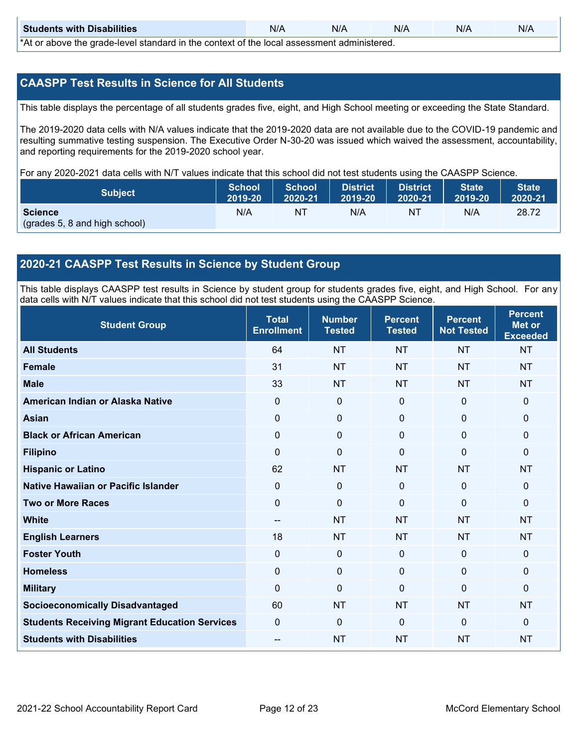| <b>Students with Disabilities</b>                                                           | N/A | N/A | N/A | N/A | N/A |  |  |
|---------------------------------------------------------------------------------------------|-----|-----|-----|-----|-----|--|--|
| *At as above the escale level standard in the context of the local accordinate admissioned. |     |     |     |     |     |  |  |

\*At or above the grade-level standard in the context of the local assessment administered.

## **CAASPP Test Results in Science for All Students**

This table displays the percentage of all students grades five, eight, and High School meeting or exceeding the State Standard.

The 2019-2020 data cells with N/A values indicate that the 2019-2020 data are not available due to the COVID-19 pandemic and resulting summative testing suspension. The Executive Order N-30-20 was issued which waived the assessment, accountability, and reporting requirements for the 2019-2020 school year.

For any 2020-2021 data cells with N/T values indicate that this school did not test students using the CAASPP Science.

| <b>Subject</b>                | <b>School</b><br>2019-20 | <b>School</b><br>2020-21 | <b>District</b><br>12019-20 | District<br>2020-21 | <b>State</b><br>2019-20 | <b>State</b><br>2020-21 |
|-------------------------------|--------------------------|--------------------------|-----------------------------|---------------------|-------------------------|-------------------------|
| <b>Science</b>                | N/A                      | ΝT                       | N/A                         | NT                  | N/A                     | 28.72                   |
| (grades 5, 8 and high school) |                          |                          |                             |                     |                         |                         |

## **2020-21 CAASPP Test Results in Science by Student Group**

This table displays CAASPP test results in Science by student group for students grades five, eight, and High School. For any data cells with N/T values indicate that this school did not test students using the CAASPP Science.

| <b>Student Group</b>                                 | <b>Total</b><br><b>Enrollment</b>     | <b>Number</b><br><b>Tested</b> | <b>Percent</b><br><b>Tested</b> | <b>Percent</b><br><b>Not Tested</b> | <b>Percent</b><br><b>Met or</b><br><b>Exceeded</b> |
|------------------------------------------------------|---------------------------------------|--------------------------------|---------------------------------|-------------------------------------|----------------------------------------------------|
| <b>All Students</b>                                  | 64                                    | <b>NT</b>                      | <b>NT</b>                       | <b>NT</b>                           | <b>NT</b>                                          |
| <b>Female</b>                                        | 31                                    | <b>NT</b>                      | <b>NT</b>                       | <b>NT</b>                           | <b>NT</b>                                          |
| <b>Male</b>                                          | 33                                    | <b>NT</b>                      | <b>NT</b>                       | <b>NT</b>                           | <b>NT</b>                                          |
| American Indian or Alaska Native                     | $\mathbf 0$                           | $\mathbf 0$                    | $\mathbf 0$                     | $\mathbf 0$                         | $\mathbf{0}$                                       |
| <b>Asian</b>                                         | $\mathbf 0$                           | $\mathbf 0$                    | $\mathbf 0$                     | $\mathbf 0$                         | $\mathbf{0}$                                       |
| <b>Black or African American</b>                     | 0                                     | 0                              | $\mathbf 0$                     | 0                                   | $\mathbf 0$                                        |
| <b>Filipino</b>                                      | $\Omega$                              | $\mathbf 0$                    | $\Omega$                        | $\mathbf{0}$                        | $\mathbf{0}$                                       |
| <b>Hispanic or Latino</b>                            | 62                                    | <b>NT</b>                      | <b>NT</b>                       | <b>NT</b>                           | <b>NT</b>                                          |
| <b>Native Hawaiian or Pacific Islander</b>           | $\Omega$                              | $\mathbf 0$                    | $\mathbf{0}$                    | $\mathbf 0$                         | $\mathbf 0$                                        |
| <b>Two or More Races</b>                             | $\mathbf 0$                           | $\mathbf 0$                    | $\mathbf{0}$                    | $\mathbf{0}$                        | $\mathbf{0}$                                       |
| <b>White</b>                                         | $\hspace{0.05cm}$ – $\hspace{0.05cm}$ | <b>NT</b>                      | <b>NT</b>                       | <b>NT</b>                           | <b>NT</b>                                          |
| <b>English Learners</b>                              | 18                                    | <b>NT</b>                      | <b>NT</b>                       | <b>NT</b>                           | <b>NT</b>                                          |
| <b>Foster Youth</b>                                  | 0                                     | $\pmb{0}$                      | $\bf 0$                         | $\mathbf 0$                         | $\mathbf 0$                                        |
| <b>Homeless</b>                                      | $\mathbf 0$                           | $\mathbf 0$                    | $\mathbf 0$                     | $\Omega$                            | $\mathbf 0$                                        |
| <b>Military</b>                                      | 0                                     | $\mathbf 0$                    | $\Omega$                        | $\mathbf{0}$                        | $\mathbf{0}$                                       |
| <b>Socioeconomically Disadvantaged</b>               | 60                                    | <b>NT</b>                      | <b>NT</b>                       | <b>NT</b>                           | <b>NT</b>                                          |
| <b>Students Receiving Migrant Education Services</b> | 0                                     | $\mathbf 0$                    | $\mathbf{0}$                    | $\mathbf{0}$                        | $\mathbf{0}$                                       |
| <b>Students with Disabilities</b>                    | --                                    | <b>NT</b>                      | <b>NT</b>                       | <b>NT</b>                           | <b>NT</b>                                          |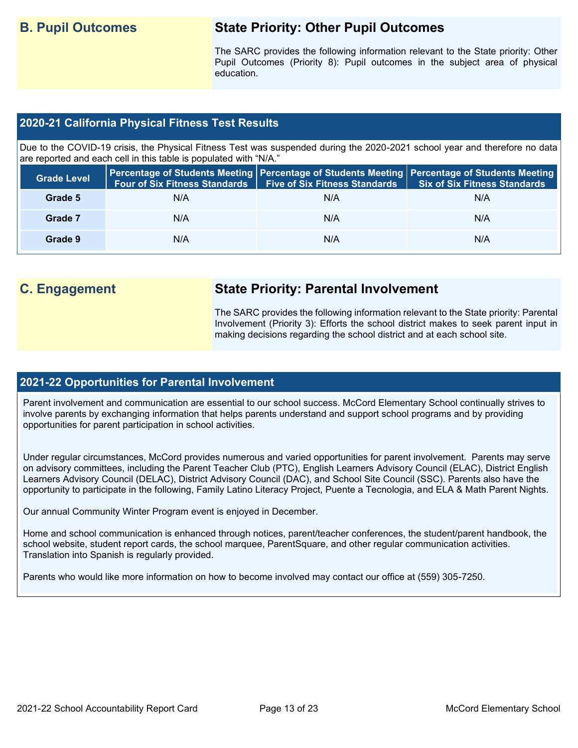## **B. Pupil Outcomes State Priority: Other Pupil Outcomes**

The SARC provides the following information relevant to the State priority: Other Pupil Outcomes (Priority 8): Pupil outcomes in the subject area of physical education.

## **2020-21 California Physical Fitness Test Results**

Due to the COVID-19 crisis, the Physical Fitness Test was suspended during the 2020-2021 school year and therefore no data are reported and each cell in this table is populated with "N/A."

| <b>Grade Level</b> | <b>Four of Six Fitness Standards</b> | <b>Five of Six Fitness Standards</b> | Percentage of Students Meeting   Percentage of Students Meeting   Percentage of Students Meeting  <br><b>Six of Six Fitness Standards</b> |
|--------------------|--------------------------------------|--------------------------------------|-------------------------------------------------------------------------------------------------------------------------------------------|
| Grade 5            | N/A                                  | N/A                                  | N/A                                                                                                                                       |
| Grade 7            | N/A                                  | N/A                                  | N/A                                                                                                                                       |
| Grade 9            | N/A                                  | N/A                                  | N/A                                                                                                                                       |

## **C. Engagement State Priority: Parental Involvement**

The SARC provides the following information relevant to the State priority: Parental Involvement (Priority 3): Efforts the school district makes to seek parent input in making decisions regarding the school district and at each school site.

### **2021-22 Opportunities for Parental Involvement**

Parent involvement and communication are essential to our school success. McCord Elementary School continually strives to involve parents by exchanging information that helps parents understand and support school programs and by providing opportunities for parent participation in school activities.

Under regular circumstances, McCord provides numerous and varied opportunities for parent involvement. Parents may serve on advisory committees, including the Parent Teacher Club (PTC), English Learners Advisory Council (ELAC), District English Learners Advisory Council (DELAC), District Advisory Council (DAC), and School Site Council (SSC). Parents also have the opportunity to participate in the following, Family Latino Literacy Project, Puente a Tecnologia, and ELA & Math Parent Nights.

Our annual Community Winter Program event is enjoyed in December.

Home and school communication is enhanced through notices, parent/teacher conferences, the student/parent handbook, the school website, student report cards, the school marquee, ParentSquare, and other regular communication activities. Translation into Spanish is regularly provided.

Parents who would like more information on how to become involved may contact our office at (559) 305-7250.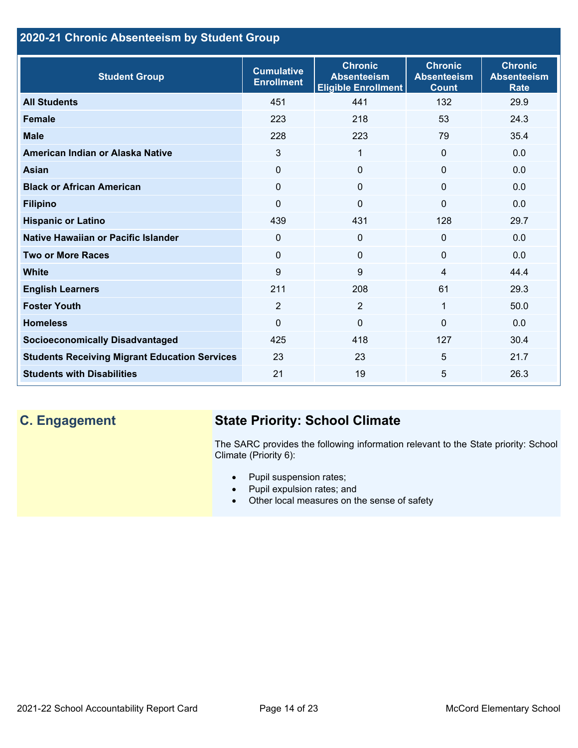## **2020-21 Chronic Absenteeism by Student Group**

| <b>Student Group</b>                                 | <b>Cumulative</b><br><b>Enrollment</b> | <b>Chronic</b><br><b>Absenteeism</b><br><b>Eligible Enrollment</b> | <b>Chronic</b><br><b>Absenteeism</b><br><b>Count</b> | <b>Chronic</b><br><b>Absenteeism</b><br><b>Rate</b> |
|------------------------------------------------------|----------------------------------------|--------------------------------------------------------------------|------------------------------------------------------|-----------------------------------------------------|
| <b>All Students</b>                                  | 451                                    | 441                                                                | 132                                                  | 29.9                                                |
| <b>Female</b>                                        | 223                                    | 218                                                                | 53                                                   | 24.3                                                |
| <b>Male</b>                                          | 228                                    | 223                                                                | 79                                                   | 35.4                                                |
| American Indian or Alaska Native                     | 3                                      | $\mathbf 1$                                                        | $\mathbf{0}$                                         | 0.0                                                 |
| <b>Asian</b>                                         | 0                                      | $\Omega$                                                           | $\mathbf 0$                                          | 0.0                                                 |
| <b>Black or African American</b>                     | $\Omega$                               | $\mathbf{0}$                                                       | $\mathbf{0}$                                         | 0.0                                                 |
| <b>Filipino</b>                                      | 0                                      | $\mathbf 0$                                                        | $\mathbf{0}$                                         | 0.0                                                 |
| <b>Hispanic or Latino</b>                            | 439                                    | 431                                                                | 128                                                  | 29.7                                                |
| Native Hawaiian or Pacific Islander                  | 0                                      | $\mathbf 0$                                                        | $\mathbf 0$                                          | 0.0                                                 |
| <b>Two or More Races</b>                             | $\Omega$                               | $\mathbf{0}$                                                       | $\mathbf{0}$                                         | 0.0                                                 |
| <b>White</b>                                         | 9                                      | 9                                                                  | 4                                                    | 44.4                                                |
| <b>English Learners</b>                              | 211                                    | 208                                                                | 61                                                   | 29.3                                                |
| <b>Foster Youth</b>                                  | $\overline{2}$                         | $\overline{2}$                                                     | 1                                                    | 50.0                                                |
| <b>Homeless</b>                                      | 0                                      | $\mathbf 0$                                                        | $\Omega$                                             | 0.0                                                 |
| <b>Socioeconomically Disadvantaged</b>               | 425                                    | 418                                                                | 127                                                  | 30.4                                                |
| <b>Students Receiving Migrant Education Services</b> | 23                                     | 23                                                                 | 5                                                    | 21.7                                                |
| <b>Students with Disabilities</b>                    | 21                                     | 19                                                                 | 5                                                    | 26.3                                                |

# **C. Engagement State Priority: School Climate**

The SARC provides the following information relevant to the State priority: School Climate (Priority 6):

- Pupil suspension rates;
- Pupil expulsion rates; and
- Other local measures on the sense of safety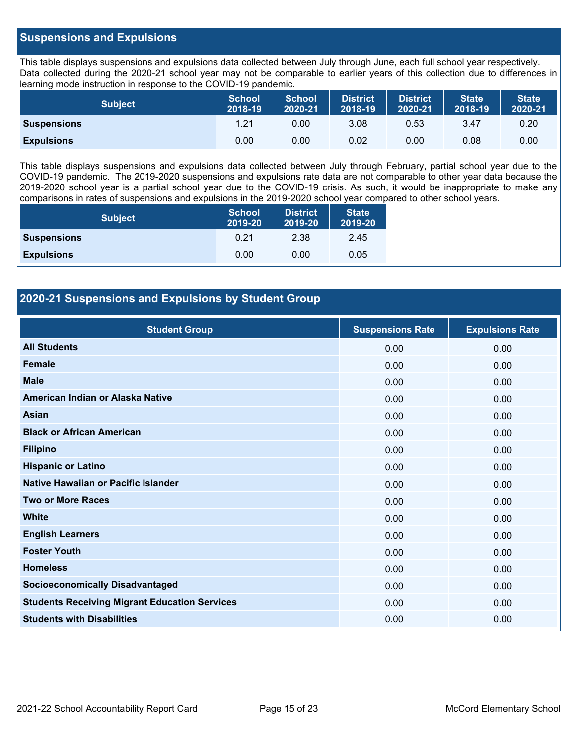## **Suspensions and Expulsions**

This table displays suspensions and expulsions data collected between July through June, each full school year respectively. Data collected during the 2020-21 school year may not be comparable to earlier years of this collection due to differences in learning mode instruction in response to the COVID-19 pandemic.

| <b>Subject</b>     | <b>School</b><br>2018-19 | <b>School</b><br>2020-21 | <b>District</b><br>2018-19 | <b>District</b><br>2020-21 | <b>State</b><br>2018-19 | <b>State</b><br>2020-21 |
|--------------------|--------------------------|--------------------------|----------------------------|----------------------------|-------------------------|-------------------------|
| <b>Suspensions</b> | 1.21                     | 0.00                     | 3.08                       | 0.53                       | 3.47                    | 0.20                    |
| <b>Expulsions</b>  | 0.00                     | 0.00                     | 0.02                       | 0.00                       | 0.08                    | 0.00                    |

This table displays suspensions and expulsions data collected between July through February, partial school year due to the COVID-19 pandemic. The 2019-2020 suspensions and expulsions rate data are not comparable to other year data because the 2019-2020 school year is a partial school year due to the COVID-19 crisis. As such, it would be inappropriate to make any comparisons in rates of suspensions and expulsions in the 2019-2020 school year compared to other school years.

| <b>Subject</b>     | <b>School</b><br>2019-20 | <b>District</b><br>2019-20 | <b>State</b><br>2019-20 |
|--------------------|--------------------------|----------------------------|-------------------------|
| <b>Suspensions</b> | 0.21                     | 2.38                       | 2.45                    |
| <b>Expulsions</b>  | 0.00                     | 0.00                       | 0.05                    |

## **2020-21 Suspensions and Expulsions by Student Group**

| <b>Student Group</b>                                 | <b>Suspensions Rate</b> | <b>Expulsions Rate</b> |
|------------------------------------------------------|-------------------------|------------------------|
| <b>All Students</b>                                  | 0.00                    | 0.00                   |
| <b>Female</b>                                        | 0.00                    | 0.00                   |
| <b>Male</b>                                          | 0.00                    | 0.00                   |
| American Indian or Alaska Native                     | 0.00                    | 0.00                   |
| <b>Asian</b>                                         | 0.00                    | 0.00                   |
| <b>Black or African American</b>                     | 0.00                    | 0.00                   |
| <b>Filipino</b>                                      | 0.00                    | 0.00                   |
| <b>Hispanic or Latino</b>                            | 0.00                    | 0.00                   |
| Native Hawaiian or Pacific Islander                  | 0.00                    | 0.00                   |
| <b>Two or More Races</b>                             | 0.00                    | 0.00                   |
| <b>White</b>                                         | 0.00                    | 0.00                   |
| <b>English Learners</b>                              | 0.00                    | 0.00                   |
| <b>Foster Youth</b>                                  | 0.00                    | 0.00                   |
| <b>Homeless</b>                                      | 0.00                    | 0.00                   |
| <b>Socioeconomically Disadvantaged</b>               | 0.00                    | 0.00                   |
| <b>Students Receiving Migrant Education Services</b> | 0.00                    | 0.00                   |
| <b>Students with Disabilities</b>                    | 0.00                    | 0.00                   |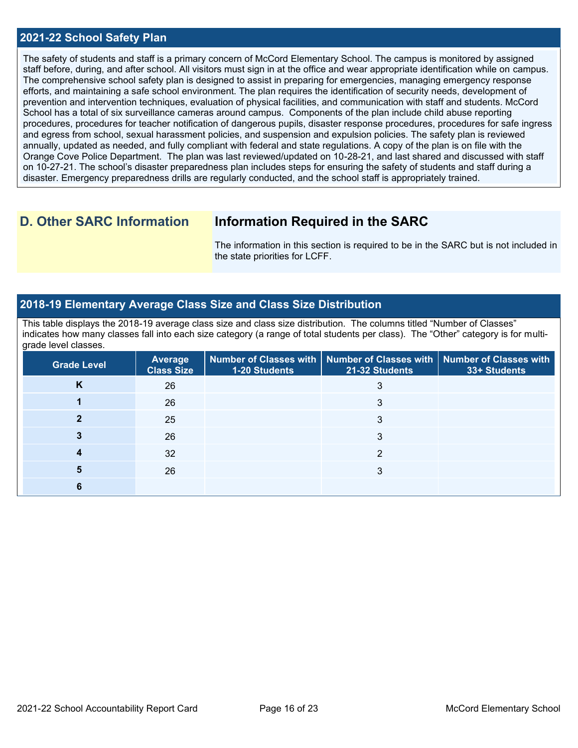### **2021-22 School Safety Plan**

The safety of students and staff is a primary concern of McCord Elementary School. The campus is monitored by assigned staff before, during, and after school. All visitors must sign in at the office and wear appropriate identification while on campus. The comprehensive school safety plan is designed to assist in preparing for emergencies, managing emergency response efforts, and maintaining a safe school environment. The plan requires the identification of security needs, development of prevention and intervention techniques, evaluation of physical facilities, and communication with staff and students. McCord School has a total of six surveillance cameras around campus. Components of the plan include child abuse reporting procedures, procedures for teacher notification of dangerous pupils, disaster response procedures, procedures for safe ingress and egress from school, sexual harassment policies, and suspension and expulsion policies. The safety plan is reviewed annually, updated as needed, and fully compliant with federal and state regulations. A copy of the plan is on file with the Orange Cove Police Department. The plan was last reviewed/updated on 10-28-21, and last shared and discussed with staff on 10-27-21. The school's disaster preparedness plan includes steps for ensuring the safety of students and staff during a disaster. Emergency preparedness drills are regularly conducted, and the school staff is appropriately trained.

## **D. Other SARC Information Information Required in the SARC**

The information in this section is required to be in the SARC but is not included in the state priorities for LCFF.

## **2018-19 Elementary Average Class Size and Class Size Distribution**

This table displays the 2018-19 average class size and class size distribution. The columns titled "Number of Classes" indicates how many classes fall into each size category (a range of total students per class). The "Other" category is for multigrade level classes.

| <b>Grade Level</b> | <b>Average</b><br><b>Class Size</b> | <b>1-20 Students</b> | Number of Classes with   Number of Classes with   Number of Classes with<br>21-32 Students | 33+ Students |
|--------------------|-------------------------------------|----------------------|--------------------------------------------------------------------------------------------|--------------|
| Κ                  | 26                                  |                      |                                                                                            |              |
|                    | 26                                  |                      | 3                                                                                          |              |
|                    | 25                                  |                      | 3                                                                                          |              |
|                    | 26                                  |                      | 3                                                                                          |              |
|                    | 32                                  |                      | ⌒                                                                                          |              |
| 5                  | 26                                  |                      | 3                                                                                          |              |
|                    |                                     |                      |                                                                                            |              |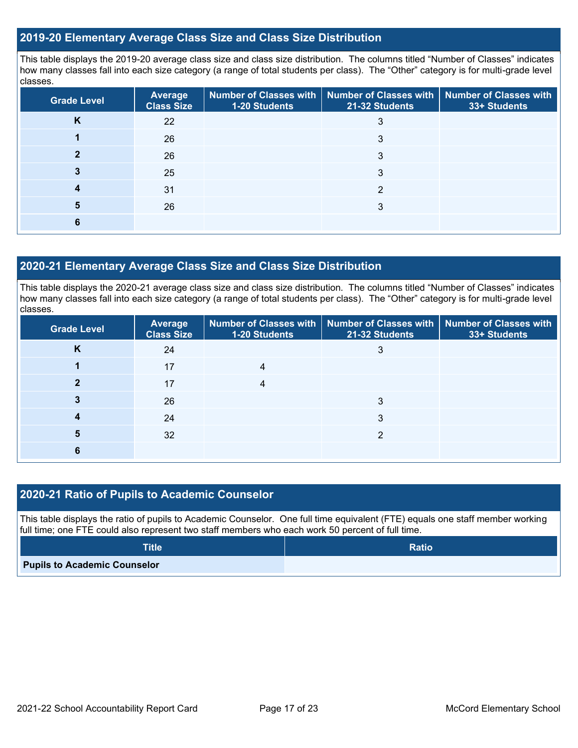## **2019-20 Elementary Average Class Size and Class Size Distribution**

This table displays the 2019-20 average class size and class size distribution. The columns titled "Number of Classes" indicates how many classes fall into each size category (a range of total students per class). The "Other" category is for multi-grade level classes.

| <b>Grade Level</b> | <b>Average</b><br><b>Class Size</b> | 1-20 Students | Number of Classes with   Number of Classes with   Number of Classes with<br>21-32 Students | 33+ Students |
|--------------------|-------------------------------------|---------------|--------------------------------------------------------------------------------------------|--------------|
| <b>n</b>           | 22                                  |               | 3                                                                                          |              |
|                    | 26                                  |               | 3                                                                                          |              |
|                    | 26                                  |               | 3                                                                                          |              |
|                    | 25                                  |               | 3                                                                                          |              |
|                    | 31                                  |               | ◠                                                                                          |              |
| 5                  | 26                                  |               | 3                                                                                          |              |
|                    |                                     |               |                                                                                            |              |

## **2020-21 Elementary Average Class Size and Class Size Distribution**

This table displays the 2020-21 average class size and class size distribution. The columns titled "Number of Classes" indicates how many classes fall into each size category (a range of total students per class). The "Other" category is for multi-grade level classes.

| <b>Grade Level</b> | <b>Average</b><br><b>Class Size</b> | 1-20 Students | Number of Classes with   Number of Classes with   Number of Classes with<br>21-32 Students | 33+ Students |
|--------------------|-------------------------------------|---------------|--------------------------------------------------------------------------------------------|--------------|
| K                  | 24                                  |               |                                                                                            |              |
|                    | 17                                  |               |                                                                                            |              |
|                    | 17                                  |               |                                                                                            |              |
|                    | 26                                  |               | 3                                                                                          |              |
|                    | 24                                  |               | 3                                                                                          |              |
| 5                  | 32                                  |               | ≘                                                                                          |              |
|                    |                                     |               |                                                                                            |              |

## **2020-21 Ratio of Pupils to Academic Counselor**

This table displays the ratio of pupils to Academic Counselor. One full time equivalent (FTE) equals one staff member working full time; one FTE could also represent two staff members who each work 50 percent of full time.

| <b>Title</b>                        | <b>Ratio</b> |
|-------------------------------------|--------------|
| <b>Pupils to Academic Counselor</b> |              |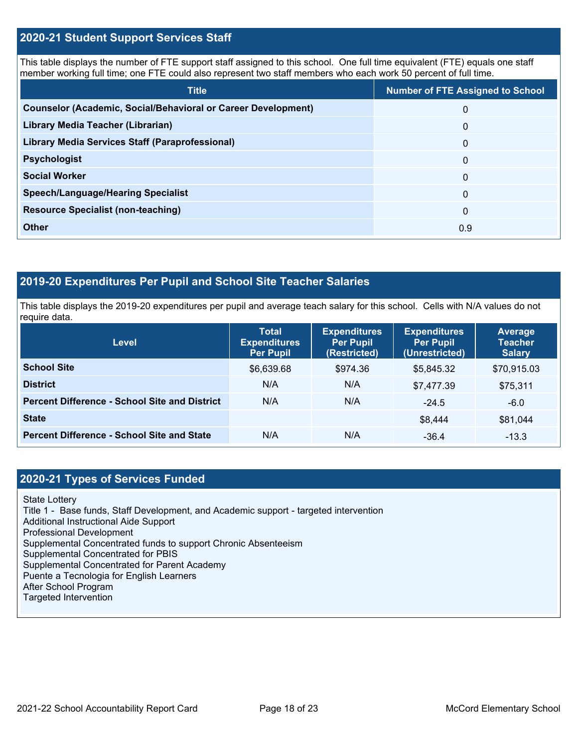## **2020-21 Student Support Services Staff**

This table displays the number of FTE support staff assigned to this school. One full time equivalent (FTE) equals one staff member working full time; one FTE could also represent two staff members who each work 50 percent of full time.

| <b>Title</b>                                                         | <b>Number of FTE Assigned to School</b> |
|----------------------------------------------------------------------|-----------------------------------------|
| <b>Counselor (Academic, Social/Behavioral or Career Development)</b> | $\Omega$                                |
| Library Media Teacher (Librarian)                                    | $\mathbf{0}$                            |
| <b>Library Media Services Staff (Paraprofessional)</b>               | $\mathbf{0}$                            |
| <b>Psychologist</b>                                                  | $\mathbf{0}$                            |
| <b>Social Worker</b>                                                 | $\Omega$                                |
| <b>Speech/Language/Hearing Specialist</b>                            | $\Omega$                                |
| <b>Resource Specialist (non-teaching)</b>                            | $\Omega$                                |
| <b>Other</b>                                                         | 0.9                                     |

## **2019-20 Expenditures Per Pupil and School Site Teacher Salaries**

This table displays the 2019-20 expenditures per pupil and average teach salary for this school. Cells with N/A values do not require data.

| <b>Level</b>                                         | <b>Total</b><br><b>Expenditures</b><br><b>Per Pupil</b> | <b>Expenditures</b><br><b>Per Pupil</b><br>(Restricted) | <b>Expenditures</b><br><b>Per Pupil</b><br>(Unrestricted) | Average<br><b>Teacher</b><br><b>Salary</b> |
|------------------------------------------------------|---------------------------------------------------------|---------------------------------------------------------|-----------------------------------------------------------|--------------------------------------------|
| <b>School Site</b>                                   | \$6,639.68                                              | \$974.36                                                | \$5,845.32                                                | \$70,915.03                                |
| <b>District</b>                                      | N/A                                                     | N/A                                                     | \$7,477.39                                                | \$75,311                                   |
| <b>Percent Difference - School Site and District</b> | N/A                                                     | N/A                                                     | $-24.5$                                                   | $-6.0$                                     |
| <b>State</b>                                         |                                                         |                                                         | \$8,444                                                   | \$81,044                                   |
| <b>Percent Difference - School Site and State</b>    | N/A                                                     | N/A                                                     | $-36.4$                                                   | $-13.3$                                    |

## **2020-21 Types of Services Funded**

State Lottery

Title 1 - Base funds, Staff Development, and Academic support - targeted intervention

Additional Instructional Aide Support

Professional Development

Supplemental Concentrated funds to support Chronic Absenteeism

Supplemental Concentrated for PBIS

Supplemental Concentrated for Parent Academy

Puente a Tecnologia for English Learners

After School Program

Targeted Intervention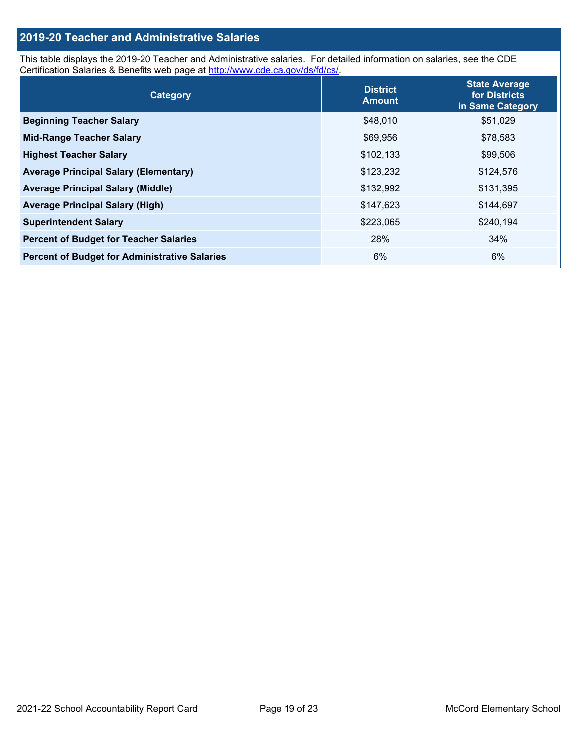## **2019-20 Teacher and Administrative Salaries**

This table displays the 2019-20 Teacher and Administrative salaries. For detailed information on salaries, see the CDE Certification Salaries & Benefits web page at [http://www.cde.ca.gov/ds/fd/cs/.](http://www.cde.ca.gov/ds/fd/cs/)

| Category                                             | <b>District</b><br><b>Amount</b> | <b>State Average</b><br>for Districts<br>in Same Category |
|------------------------------------------------------|----------------------------------|-----------------------------------------------------------|
| <b>Beginning Teacher Salary</b>                      | \$48,010                         | \$51,029                                                  |
| <b>Mid-Range Teacher Salary</b>                      | \$69,956                         | \$78,583                                                  |
| <b>Highest Teacher Salary</b>                        | \$102,133                        | \$99,506                                                  |
| <b>Average Principal Salary (Elementary)</b>         | \$123,232                        | \$124,576                                                 |
| <b>Average Principal Salary (Middle)</b>             | \$132,992                        | \$131,395                                                 |
| <b>Average Principal Salary (High)</b>               | \$147,623                        | \$144,697                                                 |
| <b>Superintendent Salary</b>                         | \$223,065                        | \$240,194                                                 |
| <b>Percent of Budget for Teacher Salaries</b>        | 28%                              | 34%                                                       |
| <b>Percent of Budget for Administrative Salaries</b> | 6%                               | 6%                                                        |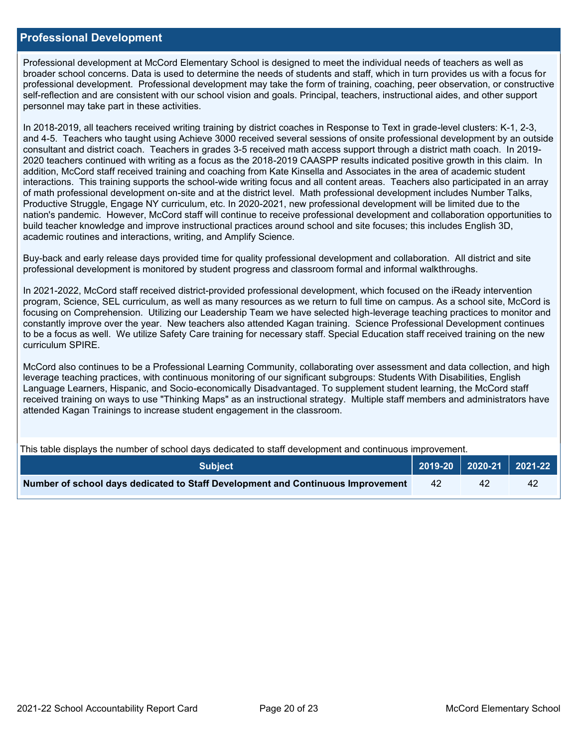### **Professional Development**

Professional development at McCord Elementary School is designed to meet the individual needs of teachers as well as broader school concerns. Data is used to determine the needs of students and staff, which in turn provides us with a focus for professional development. Professional development may take the form of training, coaching, peer observation, or constructive self-reflection and are consistent with our school vision and goals. Principal, teachers, instructional aides, and other support personnel may take part in these activities.

In 2018-2019, all teachers received writing training by district coaches in Response to Text in grade-level clusters: K-1, 2-3, and 4-5. Teachers who taught using Achieve 3000 received several sessions of onsite professional development by an outside consultant and district coach. Teachers in grades 3-5 received math access support through a district math coach. In 2019- 2020 teachers continued with writing as a focus as the 2018-2019 CAASPP results indicated positive growth in this claim. In addition, McCord staff received training and coaching from Kate Kinsella and Associates in the area of academic student interactions. This training supports the school-wide writing focus and all content areas. Teachers also participated in an array of math professional development on-site and at the district level. Math professional development includes Number Talks, Productive Struggle, Engage NY curriculum, etc. In 2020-2021, new professional development will be limited due to the nation's pandemic. However, McCord staff will continue to receive professional development and collaboration opportunities to build teacher knowledge and improve instructional practices around school and site focuses; this includes English 3D, academic routines and interactions, writing, and Amplify Science.

Buy-back and early release days provided time for quality professional development and collaboration. All district and site professional development is monitored by student progress and classroom formal and informal walkthroughs.

In 2021-2022, McCord staff received district-provided professional development, which focused on the iReady intervention program, Science, SEL curriculum, as well as many resources as we return to full time on campus. As a school site, McCord is focusing on Comprehension. Utilizing our Leadership Team we have selected high-leverage teaching practices to monitor and constantly improve over the year. New teachers also attended Kagan training. Science Professional Development continues to be a focus as well. We utilize Safety Care training for necessary staff. Special Education staff received training on the new curriculum SPIRE.

McCord also continues to be a Professional Learning Community, collaborating over assessment and data collection, and high leverage teaching practices, with continuous monitoring of our significant subgroups: Students With Disabilities, English Language Learners, Hispanic, and Socio-economically Disadvantaged. To supplement student learning, the McCord staff received training on ways to use "Thinking Maps" as an instructional strategy. Multiple staff members and administrators have attended Kagan Trainings to increase student engagement in the classroom.

This table displays the number of school days dedicated to staff development and continuous improvement.

| <b>Subject</b>                                                                  |    | 2019-20   2020-21   2021-22 |    |
|---------------------------------------------------------------------------------|----|-----------------------------|----|
| Number of school days dedicated to Staff Development and Continuous Improvement | 42 |                             | 42 |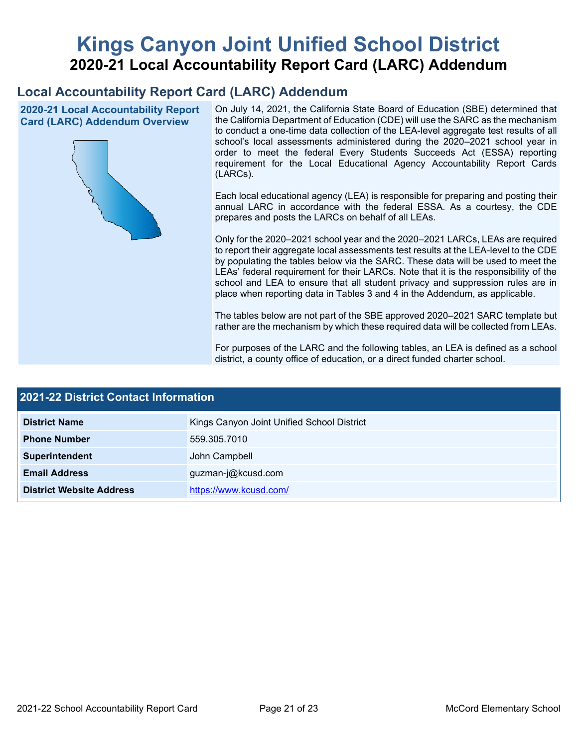# **Kings Canyon Joint Unified School District 2020-21 Local Accountability Report Card (LARC) Addendum**

## **Local Accountability Report Card (LARC) Addendum**

**2020-21 Local Accountability Report Card (LARC) Addendum Overview**



On July 14, 2021, the California State Board of Education (SBE) determined that the California Department of Education (CDE) will use the SARC as the mechanism to conduct a one-time data collection of the LEA-level aggregate test results of all school's local assessments administered during the 2020–2021 school year in order to meet the federal Every Students Succeeds Act (ESSA) reporting requirement for the Local Educational Agency Accountability Report Cards (LARCs).

Each local educational agency (LEA) is responsible for preparing and posting their annual LARC in accordance with the federal ESSA. As a courtesy, the CDE prepares and posts the LARCs on behalf of all LEAs.

Only for the 2020–2021 school year and the 2020–2021 LARCs, LEAs are required to report their aggregate local assessments test results at the LEA-level to the CDE by populating the tables below via the SARC. These data will be used to meet the LEAs' federal requirement for their LARCs. Note that it is the responsibility of the school and LEA to ensure that all student privacy and suppression rules are in place when reporting data in Tables 3 and 4 in the Addendum, as applicable.

The tables below are not part of the SBE approved 2020–2021 SARC template but rather are the mechanism by which these required data will be collected from LEAs.

For purposes of the LARC and the following tables, an LEA is defined as a school district, a county office of education, or a direct funded charter school.

| <b>2021-22 District Contact Information</b> |                                            |  |  |  |
|---------------------------------------------|--------------------------------------------|--|--|--|
| <b>District Name</b>                        | Kings Canyon Joint Unified School District |  |  |  |
| <b>Phone Number</b>                         | 559.305.7010                               |  |  |  |
| Superintendent                              | John Campbell                              |  |  |  |
| <b>Email Address</b>                        | guzman-j@kcusd.com                         |  |  |  |
| <b>District Website Address</b>             | https://www.kcusd.com/                     |  |  |  |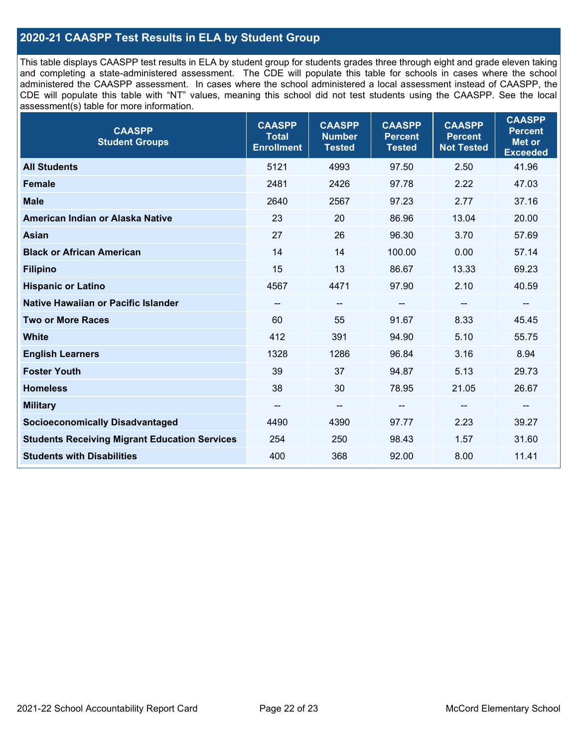## **2020-21 CAASPP Test Results in ELA by Student Group**

This table displays CAASPP test results in ELA by student group for students grades three through eight and grade eleven taking and completing a state-administered assessment. The CDE will populate this table for schools in cases where the school administered the CAASPP assessment. In cases where the school administered a local assessment instead of CAASPP, the CDE will populate this table with "NT" values, meaning this school did not test students using the CAASPP. See the local assessment(s) table for more information.

| <b>CAASPP</b><br><b>Student Groups</b>               | <b>CAASPP</b><br><b>Total</b><br><b>Enrollment</b> | <b>CAASPP</b><br><b>Number</b><br><b>Tested</b> | <b>CAASPP</b><br><b>Percent</b><br><b>Tested</b> | <b>CAASPP</b><br><b>Percent</b><br><b>Not Tested</b> | <b>CAASPP</b><br><b>Percent</b><br><b>Met or</b><br><b>Exceeded</b> |
|------------------------------------------------------|----------------------------------------------------|-------------------------------------------------|--------------------------------------------------|------------------------------------------------------|---------------------------------------------------------------------|
| <b>All Students</b>                                  | 5121                                               | 4993                                            | 97.50                                            | 2.50                                                 | 41.96                                                               |
| <b>Female</b>                                        | 2481                                               | 2426                                            | 97.78                                            | 2.22                                                 | 47.03                                                               |
| <b>Male</b>                                          | 2640                                               | 2567                                            | 97.23                                            | 2.77                                                 | 37.16                                                               |
| American Indian or Alaska Native                     | 23                                                 | 20                                              | 86.96                                            | 13.04                                                | 20.00                                                               |
| <b>Asian</b>                                         | 27                                                 | 26                                              | 96.30                                            | 3.70                                                 | 57.69                                                               |
| <b>Black or African American</b>                     | 14                                                 | 14                                              | 100.00                                           | 0.00                                                 | 57.14                                                               |
| <b>Filipino</b>                                      | 15                                                 | 13                                              | 86.67                                            | 13.33                                                | 69.23                                                               |
| <b>Hispanic or Latino</b>                            | 4567                                               | 4471                                            | 97.90                                            | 2.10                                                 | 40.59                                                               |
| Native Hawaiian or Pacific Islander                  | --                                                 | $\overline{\phantom{m}}$                        | --                                               | $\overline{\phantom{a}}$                             | $\overline{\phantom{a}}$                                            |
| <b>Two or More Races</b>                             | 60                                                 | 55                                              | 91.67                                            | 8.33                                                 | 45.45                                                               |
| <b>White</b>                                         | 412                                                | 391                                             | 94.90                                            | 5.10                                                 | 55.75                                                               |
| <b>English Learners</b>                              | 1328                                               | 1286                                            | 96.84                                            | 3.16                                                 | 8.94                                                                |
| <b>Foster Youth</b>                                  | 39                                                 | 37                                              | 94.87                                            | 5.13                                                 | 29.73                                                               |
| <b>Homeless</b>                                      | 38                                                 | 30                                              | 78.95                                            | 21.05                                                | 26.67                                                               |
| <b>Military</b>                                      | --                                                 | --                                              | --                                               | --                                                   | --                                                                  |
| <b>Socioeconomically Disadvantaged</b>               | 4490                                               | 4390                                            | 97.77                                            | 2.23                                                 | 39.27                                                               |
| <b>Students Receiving Migrant Education Services</b> | 254                                                | 250                                             | 98.43                                            | 1.57                                                 | 31.60                                                               |
| <b>Students with Disabilities</b>                    | 400                                                | 368                                             | 92.00                                            | 8.00                                                 | 11.41                                                               |